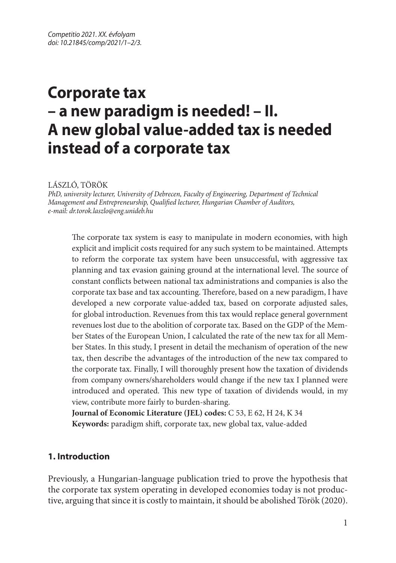# **Corporate tax – a new paradigm is needed! – II. A new global value-added tax is needed instead of a corporate tax**

LÁSZLÓ, TÖRÖK

*PhD, university lecturer, University of Debrecen, Faculty of Engineering, Department of Technical Management and Entrepreneurship, Qualified lecturer, Hungarian Chamber of Auditors, e-mail: dr.torok.laszlo@eng.unideb.hu*

The corporate tax system is easy to manipulate in modern economies, with high explicit and implicit costs required for any such system to be maintained. Attempts to reform the corporate tax system have been unsuccessful, with aggressive tax planning and tax evasion gaining ground at the international level. The source of constant conflicts between national tax administrations and companies is also the corporate tax base and tax accounting. Therefore, based on a new paradigm, I have developed a new corporate value-added tax, based on corporate adjusted sales, for global introduction. Revenues from this tax would replace general government revenues lost due to the abolition of corporate tax. Based on the GDP of the Member States of the European Union, I calculated the rate of the new tax for all Member States. In this study, I present in detail the mechanism of operation of the new tax, then describe the advantages of the introduction of the new tax compared to the corporate tax. Finally, I will thoroughly present how the taxation of dividends from company owners/shareholders would change if the new tax I planned were introduced and operated. This new type of taxation of dividends would, in my view, contribute more fairly to burden-sharing.

**Journal of Economic Literature (JEL) codes:** C 53, E 62, H 24, K 34 **Keywords:** paradigm shift, corporate tax, new global tax, value-added

# **1. Introduction**

Previously, a Hungarian-language publication tried to prove the hypothesis that the corporate tax system operating in developed economies today is not productive, arguing that since it is costly to maintain, it should be abolished Török (2020).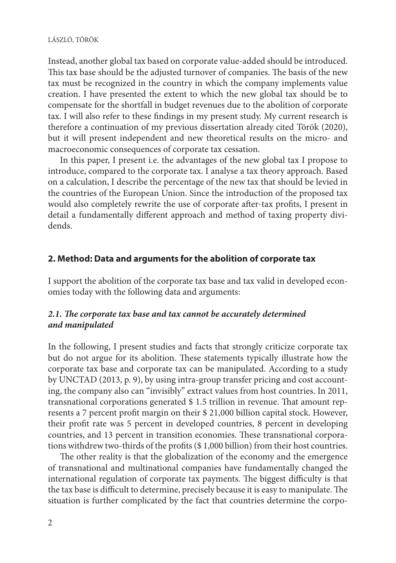Instead, another global tax based on corporate value-added should be introduced. This tax base should be the adjusted turnover of companies. The basis of the new tax must be recognized in the country in which the company implements value creation. I have presented the extent to which the new global tax should be to compensate for the shortfall in budget revenues due to the abolition of corporate tax. I will also refer to these findings in my present study. My current research is therefore a continuation of my previous dissertation already cited Török (2020), but it will present independent and new theoretical results on the micro- and macroeconomic consequences of corporate tax cessation.

In this paper, I present i.e. the advantages of the new global tax I propose to introduce, compared to the corporate tax. I analyse a tax theory approach. Based on a calculation, I describe the percentage of the new tax that should be levied in the countries of the European Union. Since the introduction of the proposed tax would also completely rewrite the use of corporate after-tax profits, I present in detail a fundamentally different approach and method of taxing property dividends.

## **2. Method: Data and arguments for the abolition of corporate tax**

I support the abolition of the corporate tax base and tax valid in developed economies today with the following data and arguments:

# *2.1. The corporate tax base and tax cannot be accurately determined and manipulated*

In the following, I present studies and facts that strongly criticize corporate tax but do not argue for its abolition. These statements typically illustrate how the corporate tax base and corporate tax can be manipulated. According to a study by UNCTAD (2013, p. 9), by using intra-group transfer pricing and cost accounting, the company also can "invisibly" extract values from host countries. In 2011, transnational corporations generated \$ 1.5 trillion in revenue. That amount represents a 7 percent profit margin on their \$ 21,000 billion capital stock. However, their profit rate was 5 percent in developed countries, 8 percent in developing countries, and 13 percent in transition economies. These transnational corporations withdrew two-thirds of the profits (\$ 1,000 billion) from their host countries.

The other reality is that the globalization of the economy and the emergence of transnational and multinational companies have fundamentally changed the international regulation of corporate tax payments. The biggest difficulty is that the tax base is difficult to determine, precisely because it is easy to manipulate. The situation is further complicated by the fact that countries determine the corpo-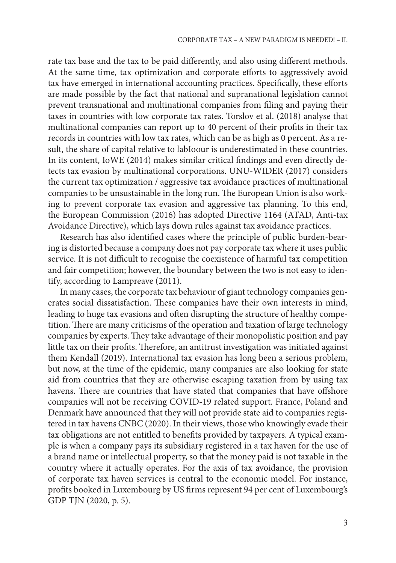rate tax base and the tax to be paid differently, and also using different methods. At the same time, tax optimization and corporate efforts to aggressively avoid tax have emerged in international accounting practices. Specifically, these efforts are made possible by the fact that national and supranational legislation cannot prevent transnational and multinational companies from filing and paying their taxes in countries with low corporate tax rates. Torslov et al. (2018) analyse that multinational companies can report up to 40 percent of their profits in their tax records in countries with low tax rates, which can be as high as 0 percent. As a result, the share of capital relative to labIoour is underestimated in these countries. In its content, IoWE (2014) makes similar critical findings and even directly detects tax evasion by multinational corporations. UNU-WIDER (2017) considers the current tax optimization / aggressive tax avoidance practices of multinational companies to be unsustainable in the long run. The European Union is also working to prevent corporate tax evasion and aggressive tax planning. To this end, the European Commission (2016) has adopted Directive 1164 (ATAD, Anti-tax Avoidance Directive), which lays down rules against tax avoidance practices.

Research has also identified cases where the principle of public burden-bearing is distorted because a company does not pay corporate tax where it uses public service. It is not difficult to recognise the coexistence of harmful tax competition and fair competition; however, the boundary between the two is not easy to identify, according to Lampreave (2011).

In many cases, the corporate tax behaviour of giant technology companies generates social dissatisfaction. These companies have their own interests in mind, leading to huge tax evasions and often disrupting the structure of healthy competition. There are many criticisms of the operation and taxation of large technology companies by experts. They take advantage of their monopolistic position and pay little tax on their profits. Therefore, an antitrust investigation was initiated against them Kendall (2019). International tax evasion has long been a serious problem, but now, at the time of the epidemic, many companies are also looking for state aid from countries that they are otherwise escaping taxation from by using tax havens. There are countries that have stated that companies that have offshore companies will not be receiving COVID-19 related support. France, Poland and Denmark have announced that they will not provide state aid to companies registered in tax havens CNBC (2020). In their views, those who knowingly evade their tax obligations are not entitled to benefits provided by taxpayers. A typical example is when a company pays its subsidiary registered in a tax haven for the use of a brand name or intellectual property, so that the money paid is not taxable in the country where it actually operates. For the axis of tax avoidance, the provision of corporate tax haven services is central to the economic model. For instance, profits booked in Luxembourg by US firms represent 94 per cent of Luxembourg's GDP TJN (2020, p. 5).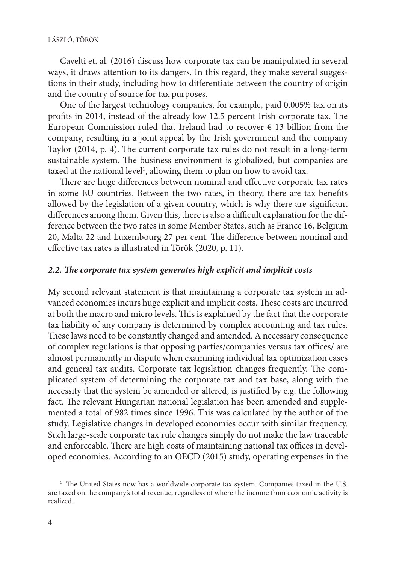#### LÁSZLÓ, TÖRÖK

Cavelti et. al. (2016) discuss how corporate tax can be manipulated in several ways, it draws attention to its dangers. In this regard, they make several suggestions in their study, including how to differentiate between the country of origin and the country of source for tax purposes.

One of the largest technology companies, for example, paid 0.005% tax on its profits in 2014, instead of the already low 12.5 percent Irish corporate tax. The European Commission ruled that Ireland had to recover  $\epsilon$  13 billion from the company, resulting in a joint appeal by the Irish government and the company Taylor (2014, p. 4). The current corporate tax rules do not result in a long-term sustainable system. The business environment is globalized, but companies are taxed at the national level<sup>1</sup>, allowing them to plan on how to avoid tax.

There are huge differences between nominal and effective corporate tax rates in some EU countries. Between the two rates, in theory, there are tax benefits allowed by the legislation of a given country, which is why there are significant differences among them. Given this, there is also a difficult explanation for the difference between the two rates in some Member States, such as France 16, Belgium 20, Malta 22 and Luxembourg 27 per cent. The difference between nominal and effective tax rates is illustrated in Török (2020, p. 11).

#### *2.2. The corporate tax system generates high explicit and implicit costs*

My second relevant statement is that maintaining a corporate tax system in advanced economies incurs huge explicit and implicit costs. These costs are incurred at both the macro and micro levels. This is explained by the fact that the corporate tax liability of any company is determined by complex accounting and tax rules. These laws need to be constantly changed and amended. A necessary consequence of complex regulations is that opposing parties/companies versus tax offices/ are almost permanently in dispute when examining individual tax optimization cases and general tax audits. Corporate tax legislation changes frequently. The complicated system of determining the corporate tax and tax base, along with the necessity that the system be amended or altered, is justified by e.g. the following fact. The relevant Hungarian national legislation has been amended and supplemented a total of 982 times since 1996. This was calculated by the author of the study. Legislative changes in developed economies occur with similar frequency. Such large-scale corporate tax rule changes simply do not make the law traceable and enforceable. There are high costs of maintaining national tax offices in developed economies. According to an OECD (2015) study, operating expenses in the

<sup>&</sup>lt;sup>1</sup> The United States now has a worldwide corporate tax system. Companies taxed in the U.S. are taxed on the company's total revenue, regardless of where the income from economic activity is realized.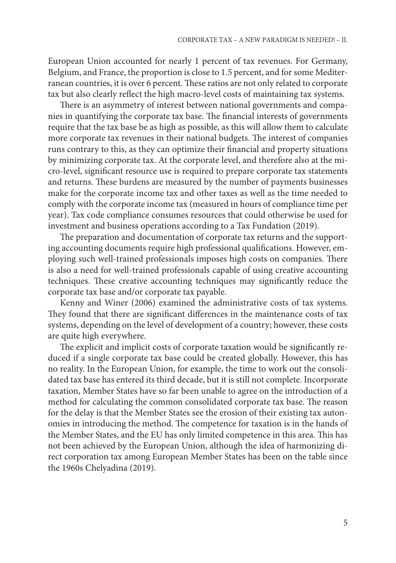European Union accounted for nearly 1 percent of tax revenues. For Germany, Belgium, and France, the proportion is close to 1.5 percent, and for some Mediterranean countries, it is over 6 percent. These ratios are not only related to corporate tax but also clearly reflect the high macro-level costs of maintaining tax systems.

There is an asymmetry of interest between national governments and companies in quantifying the corporate tax base. The financial interests of governments require that the tax base be as high as possible, as this will allow them to calculate more corporate tax revenues in their national budgets. The interest of companies runs contrary to this, as they can optimize their financial and property situations by minimizing corporate tax. At the corporate level, and therefore also at the micro-level, significant resource use is required to prepare corporate tax statements and returns. These burdens are measured by the number of payments businesses make for the corporate income tax and other taxes as well as the time needed to comply with the corporate income tax (measured in hours of compliance time per year). Tax code compliance consumes resources that could otherwise be used for investment and business operations according to a Tax Fundation (2019).

The preparation and documentation of corporate tax returns and the supporting accounting documents require high professional qualifications. However, employing such well-trained professionals imposes high costs on companies. There is also a need for well-trained professionals capable of using creative accounting techniques. These creative accounting techniques may significantly reduce the corporate tax base and/or corporate tax payable.

Kenny and Winer (2006) examined the administrative costs of tax systems. They found that there are significant differences in the maintenance costs of tax systems, depending on the level of development of a country; however, these costs are quite high everywhere.

The explicit and implicit costs of corporate taxation would be significantly reduced if a single corporate tax base could be created globally. However, this has no reality. In the European Union, for example, the time to work out the consolidated tax base has entered its third decade, but it is still not complete. Incorporate taxation, Member States have so far been unable to agree on the introduction of a method for calculating the common consolidated corporate tax base. The reason for the delay is that the Member States see the erosion of their existing tax autonomies in introducing the method. The competence for taxation is in the hands of the Member States, and the EU has only limited competence in this area. This has not been achieved by the European Union, although the idea of harmonizing direct corporation tax among European Member States has been on the table since the 1960s Chelyadina (2019).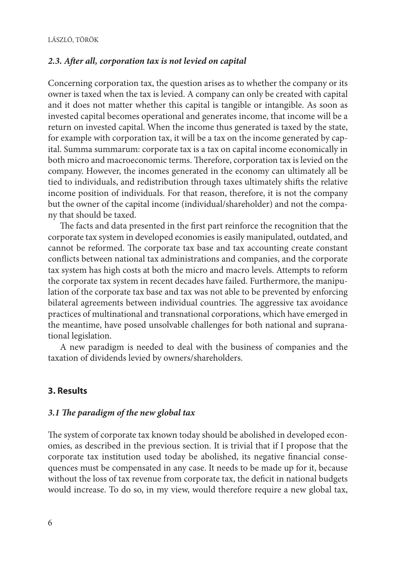#### *2.3. After all, corporation tax is not levied on capital*

Concerning corporation tax, the question arises as to whether the company or its owner is taxed when the tax is levied. A company can only be created with capital and it does not matter whether this capital is tangible or intangible. As soon as invested capital becomes operational and generates income, that income will be a return on invested capital. When the income thus generated is taxed by the state, for example with corporation tax, it will be a tax on the income generated by capital. Summa summarum: corporate tax is a tax on capital income economically in both micro and macroeconomic terms. Therefore, corporation tax is levied on the company. However, the incomes generated in the economy can ultimately all be tied to individuals, and redistribution through taxes ultimately shifts the relative income position of individuals. For that reason, therefore, it is not the company but the owner of the capital income (individual/shareholder) and not the company that should be taxed.

The facts and data presented in the first part reinforce the recognition that the corporate tax system in developed economies is easily manipulated, outdated, and cannot be reformed. The corporate tax base and tax accounting create constant conflicts between national tax administrations and companies, and the corporate tax system has high costs at both the micro and macro levels. Attempts to reform the corporate tax system in recent decades have failed. Furthermore, the manipulation of the corporate tax base and tax was not able to be prevented by enforcing bilateral agreements between individual countries. The aggressive tax avoidance practices of multinational and transnational corporations, which have emerged in the meantime, have posed unsolvable challenges for both national and supranational legislation.

A new paradigm is needed to deal with the business of companies and the taxation of dividends levied by owners/shareholders.

## **3. Results**

#### *3.1 The paradigm of the new global tax*

The system of corporate tax known today should be abolished in developed economies, as described in the previous section. It is trivial that if I propose that the corporate tax institution used today be abolished, its negative financial consequences must be compensated in any case. It needs to be made up for it, because without the loss of tax revenue from corporate tax, the deficit in national budgets would increase. To do so, in my view, would therefore require a new global tax,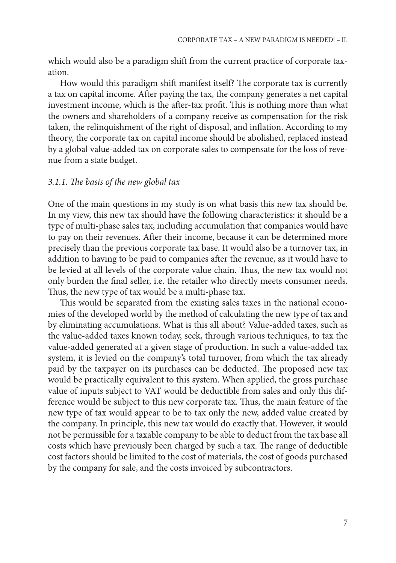which would also be a paradigm shift from the current practice of corporate taxation.

How would this paradigm shift manifest itself? The corporate tax is currently a tax on capital income. After paying the tax, the company generates a net capital investment income, which is the after-tax profit. This is nothing more than what the owners and shareholders of a company receive as compensation for the risk taken, the relinquishment of the right of disposal, and inflation. According to my theory, the corporate tax on capital income should be abolished, replaced instead by a global value-added tax on corporate sales to compensate for the loss of revenue from a state budget.

#### *3.1.1. The basis of the new global tax*

One of the main questions in my study is on what basis this new tax should be. In my view, this new tax should have the following characteristics: it should be a type of multi-phase sales tax, including accumulation that companies would have to pay on their revenues. After their income, because it can be determined more precisely than the previous corporate tax base. It would also be a turnover tax, in addition to having to be paid to companies after the revenue, as it would have to be levied at all levels of the corporate value chain. Thus, the new tax would not only burden the final seller, i.e. the retailer who directly meets consumer needs. Thus, the new type of tax would be a multi-phase tax.

This would be separated from the existing sales taxes in the national economies of the developed world by the method of calculating the new type of tax and by eliminating accumulations. What is this all about? Value-added taxes, such as the value-added taxes known today, seek, through various techniques, to tax the value-added generated at a given stage of production. In such a value-added tax system, it is levied on the company's total turnover, from which the tax already paid by the taxpayer on its purchases can be deducted. The proposed new tax would be practically equivalent to this system. When applied, the gross purchase value of inputs subject to VAT would be deductible from sales and only this difference would be subject to this new corporate tax. Thus, the main feature of the new type of tax would appear to be to tax only the new, added value created by the company. In principle, this new tax would do exactly that. However, it would not be permissible for a taxable company to be able to deduct from the tax base all costs which have previously been charged by such a tax. The range of deductible cost factors should be limited to the cost of materials, the cost of goods purchased by the company for sale, and the costs invoiced by subcontractors.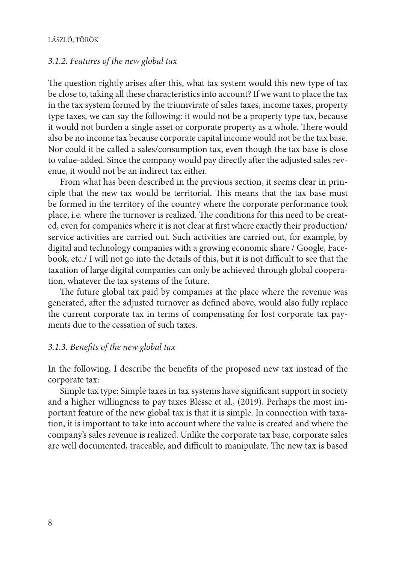#### *3.1.2. Features of the new global tax*

The question rightly arises after this, what tax system would this new type of tax be close to, taking all these characteristics into account? If we want to place the tax in the tax system formed by the triumvirate of sales taxes, income taxes, property type taxes, we can say the following: it would not be a property type tax, because it would not burden a single asset or corporate property as a whole. There would also be no income tax because corporate capital income would not be the tax base. Nor could it be called a sales/consumption tax, even though the tax base is close to value-added. Since the company would pay directly after the adjusted sales revenue, it would not be an indirect tax either.

From what has been described in the previous section, it seems clear in principle that the new tax would be territorial. This means that the tax base must be formed in the territory of the country where the corporate performance took place, i.e. where the turnover is realized. The conditions for this need to be created, even for companies where it is not clear at first where exactly their production/ service activities are carried out. Such activities are carried out, for example, by digital and technology companies with a growing economic share / Google, Facebook, etc./ I will not go into the details of this, but it is not difficult to see that the taxation of large digital companies can only be achieved through global cooperation, whatever the tax systems of the future.

The future global tax paid by companies at the place where the revenue was generated, after the adjusted turnover as defined above, would also fully replace the current corporate tax in terms of compensating for lost corporate tax payments due to the cessation of such taxes.

#### *3.1.3. Benefits of the new global tax*

In the following, I describe the benefits of the proposed new tax instead of the corporate tax:

Simple tax type: Simple taxes in tax systems have significant support in society and a higher willingness to pay taxes Blesse et al., (2019). Perhaps the most important feature of the new global tax is that it is simple. In connection with taxation, it is important to take into account where the value is created and where the company's sales revenue is realized. Unlike the corporate tax base, corporate sales are well documented, traceable, and difficult to manipulate. The new tax is based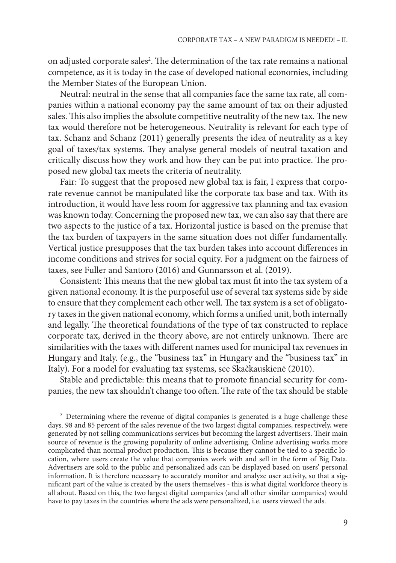on adjusted corporate sales<sup>2</sup>. The determination of the tax rate remains a national competence, as it is today in the case of developed national economies, including the Member States of the European Union.

Neutral: neutral in the sense that all companies face the same tax rate, all companies within a national economy pay the same amount of tax on their adjusted sales. This also implies the absolute competitive neutrality of the new tax. The new tax would therefore not be heterogeneous. Neutrality is relevant for each type of tax. Schanz and Schanz (2011) generally presents the idea of neutrality as a key goal of taxes/tax systems. They analyse general models of neutral taxation and critically discuss how they work and how they can be put into practice. The proposed new global tax meets the criteria of neutrality.

Fair: To suggest that the proposed new global tax is fair, I express that corporate revenue cannot be manipulated like the corporate tax base and tax. With its introduction, it would have less room for aggressive tax planning and tax evasion was known today. Concerning the proposed new tax, we can also say that there are two aspects to the justice of a tax. Horizontal justice is based on the premise that the tax burden of taxpayers in the same situation does not differ fundamentally. Vertical justice presupposes that the tax burden takes into account differences in income conditions and strives for social equity. For a judgment on the fairness of taxes, see Fuller and Santoro (2016) and Gunnarsson et al. (2019).

Consistent: This means that the new global tax must fit into the tax system of a given national economy. It is the purposeful use of several tax systems side by side to ensure that they complement each other well. The tax system is a set of obligatory taxes in the given national economy, which forms a unified unit, both internally and legally. The theoretical foundations of the type of tax constructed to replace corporate tax, derived in the theory above, are not entirely unknown. There are similarities with the taxes with different names used for municipal tax revenues in Hungary and Italy. (e.g., the "business tax" in Hungary and the "business tax" in Italy). For a model for evaluating tax systems, see Skačkauskienė (2010).

Stable and predictable: this means that to promote financial security for companies, the new tax shouldn't change too often. The rate of the tax should be stable

<sup>2</sup> Determining where the revenue of digital companies is generated is a huge challenge these days. 98 and 85 percent of the sales revenue of the two largest digital companies, respectively, were generated by not selling communications services but becoming the largest advertisers. Their main source of revenue is the growing popularity of online advertising. Online advertising works more complicated than normal product production. This is because they cannot be tied to a specific location, where users create the value that companies work with and sell in the form of Big Data. Advertisers are sold to the public and personalized ads can be displayed based on users' personal information. It is therefore necessary to accurately monitor and analyze user activity, so that a significant part of the value is created by the users themselves - this is what digital workforce theory is all about. Based on this, the two largest digital companies (and all other similar companies) would have to pay taxes in the countries where the ads were personalized, i.e. users viewed the ads.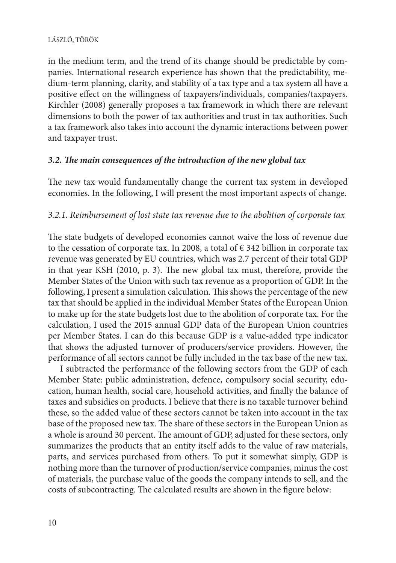#### LÁSZLÓ, TÖRÖK

in the medium term, and the trend of its change should be predictable by companies. International research experience has shown that the predictability, medium-term planning, clarity, and stability of a tax type and a tax system all have a positive effect on the willingness of taxpayers/individuals, companies/taxpayers. Kirchler (2008) generally proposes a tax framework in which there are relevant dimensions to both the power of tax authorities and trust in tax authorities. Such a tax framework also takes into account the dynamic interactions between power and taxpayer trust.

## *3.2. The main consequences of the introduction of the new global tax*

The new tax would fundamentally change the current tax system in developed economies. In the following, I will present the most important aspects of change.

## *3.2.1. Reimbursement of lost state tax revenue due to the abolition of corporate tax*

The state budgets of developed economies cannot waive the loss of revenue due to the cessation of corporate tax. In 2008, a total of  $\epsilon$  342 billion in corporate tax revenue was generated by EU countries, which was 2.7 percent of their total GDP in that year KSH (2010, p. 3). The new global tax must, therefore, provide the Member States of the Union with such tax revenue as a proportion of GDP. In the following, I present a simulation calculation. This shows the percentage of the new tax that should be applied in the individual Member States of the European Union to make up for the state budgets lost due to the abolition of corporate tax. For the calculation, I used the 2015 annual GDP data of the European Union countries per Member States. I can do this because GDP is a value-added type indicator that shows the adjusted turnover of producers/service providers. However, the performance of all sectors cannot be fully included in the tax base of the new tax.

I subtracted the performance of the following sectors from the GDP of each Member State: public administration, defence, compulsory social security, education, human health, social care, household activities, and finally the balance of taxes and subsidies on products. I believe that there is no taxable turnover behind these, so the added value of these sectors cannot be taken into account in the tax base of the proposed new tax. The share of these sectors in the European Union as a whole is around 30 percent. The amount of GDP, adjusted for these sectors, only summarizes the products that an entity itself adds to the value of raw materials, parts, and services purchased from others. To put it somewhat simply, GDP is nothing more than the turnover of production/service companies, minus the cost of materials, the purchase value of the goods the company intends to sell, and the costs of subcontracting. The calculated results are shown in the figure below: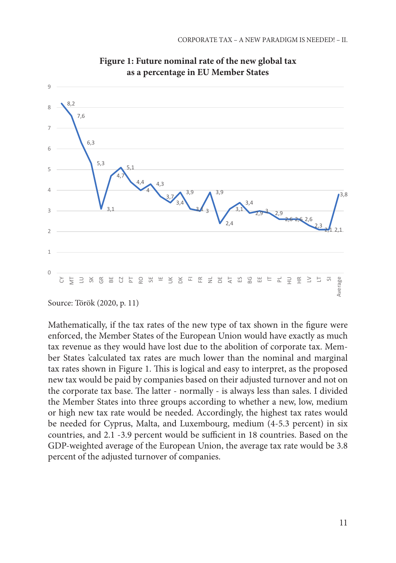

**Figure 1: Future nominal rate of the new global tax as a percentage in EU Member States**

Source: Török (2020, p. 11)

Mathematically, if the tax rates of the new type of tax shown in the figure were enforced, the Member States of the European Union would have exactly as much tax revenue as they would have lost due to the abolition of corporate tax. Member States 'calculated tax rates are much lower than the nominal and marginal tax rates shown in Figure 1. This is logical and easy to interpret, as the proposed new tax would be paid by companies based on their adjusted turnover and not on the corporate tax base. The latter - normally - is always less than sales. I divided the Member States into three groups according to whether a new, low, medium or high new tax rate would be needed. Accordingly, the highest tax rates would be needed for Cyprus, Malta, and Luxembourg, medium (4-5.3 percent) in six countries, and 2.1 -3.9 percent would be sufficient in 18 countries. Based on the GDP-weighted average of the European Union, the average tax rate would be 3.8 percent of the adjusted turnover of companies.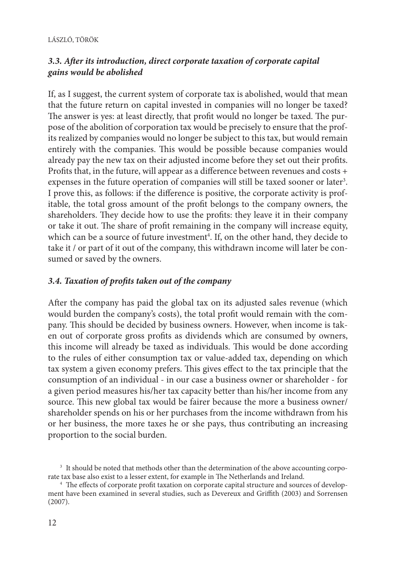# *3.3. After its introduction, direct corporate taxation of corporate capital gains would be abolished*

If, as I suggest, the current system of corporate tax is abolished, would that mean that the future return on capital invested in companies will no longer be taxed? The answer is yes: at least directly, that profit would no longer be taxed. The purpose of the abolition of corporation tax would be precisely to ensure that the profits realized by companies would no longer be subject to this tax, but would remain entirely with the companies. This would be possible because companies would already pay the new tax on their adjusted income before they set out their profits. Profits that, in the future, will appear as a difference between revenues and costs + expenses in the future operation of companies will still be taxed sooner or later<sup>3</sup>. I prove this, as follows: if the difference is positive, the corporate activity is profitable, the total gross amount of the profit belongs to the company owners, the shareholders. They decide how to use the profits: they leave it in their company or take it out. The share of profit remaining in the company will increase equity, which can be a source of future investment<sup>4</sup>. If, on the other hand, they decide to take it / or part of it out of the company, this withdrawn income will later be consumed or saved by the owners.

# *3.4. Taxation of profits taken out of the company*

After the company has paid the global tax on its adjusted sales revenue (which would burden the company's costs), the total profit would remain with the company. This should be decided by business owners. However, when income is taken out of corporate gross profits as dividends which are consumed by owners, this income will already be taxed as individuals. This would be done according to the rules of either consumption tax or value-added tax, depending on which tax system a given economy prefers. This gives effect to the tax principle that the consumption of an individual - in our case a business owner or shareholder - for a given period measures his/her tax capacity better than his/her income from any source. This new global tax would be fairer because the more a business owner/ shareholder spends on his or her purchases from the income withdrawn from his or her business, the more taxes he or she pays, thus contributing an increasing proportion to the social burden.

<sup>&</sup>lt;sup>3</sup> It should be noted that methods other than the determination of the above accounting corporate tax base also exist to a lesser extent, for example in The Netherlands and Ireland.

<sup>4</sup> The effects of corporate profit taxation on corporate capital structure and sources of development have been examined in several studies, such as Devereux and Griffith (2003) and Sorrensen (2007).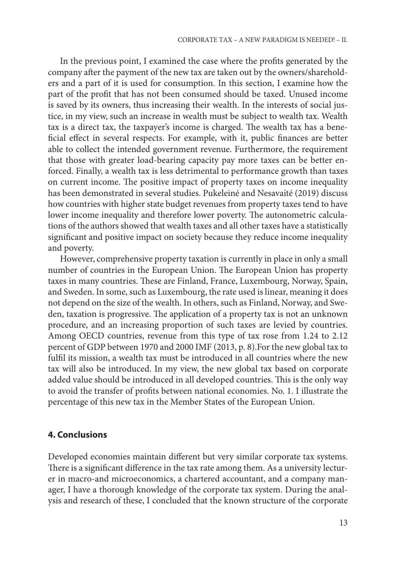In the previous point, I examined the case where the profits generated by the company after the payment of the new tax are taken out by the owners/shareholders and a part of it is used for consumption. In this section, I examine how the part of the profit that has not been consumed should be taxed. Unused income is saved by its owners, thus increasing their wealth. In the interests of social justice, in my view, such an increase in wealth must be subject to wealth tax. Wealth tax is a direct tax, the taxpayer's income is charged. The wealth tax has a beneficial effect in several respects. For example, with it, public finances are better able to collect the intended government revenue. Furthermore, the requirement that those with greater load-bearing capacity pay more taxes can be better enforced. Finally, a wealth tax is less detrimental to performance growth than taxes on current income. The positive impact of property taxes on income inequality has been demonstrated in several studies. Pukeleiné and Nesavaité (2019) discuss how countries with higher state budget revenues from property taxes tend to have lower income inequality and therefore lower poverty. The autonometric calculations of the authors showed that wealth taxes and all other taxes have a statistically significant and positive impact on society because they reduce income inequality and poverty.

However, comprehensive property taxation is currently in place in only a small number of countries in the European Union. The European Union has property taxes in many countries. These are Finland, France, Luxembourg, Norway, Spain, and Sweden. In some, such as Luxembourg, the rate used is linear, meaning it does not depend on the size of the wealth. In others, such as Finland, Norway, and Sweden, taxation is progressive. The application of a property tax is not an unknown procedure, and an increasing proportion of such taxes are levied by countries. Among OECD countries, revenue from this type of tax rose from 1.24 to 2.12 percent of GDP between 1970 and 2000 IMF (2013, p. 8).For the new global tax to fulfil its mission, a wealth tax must be introduced in all countries where the new tax will also be introduced. In my view, the new global tax based on corporate added value should be introduced in all developed countries. This is the only way to avoid the transfer of profits between national economies. No. 1. I illustrate the percentage of this new tax in the Member States of the European Union.

### **4. Conclusions**

Developed economies maintain different but very similar corporate tax systems. There is a significant difference in the tax rate among them. As a university lecturer in macro-and microeconomics, a chartered accountant, and a company manager, I have a thorough knowledge of the corporate tax system. During the analysis and research of these, I concluded that the known structure of the corporate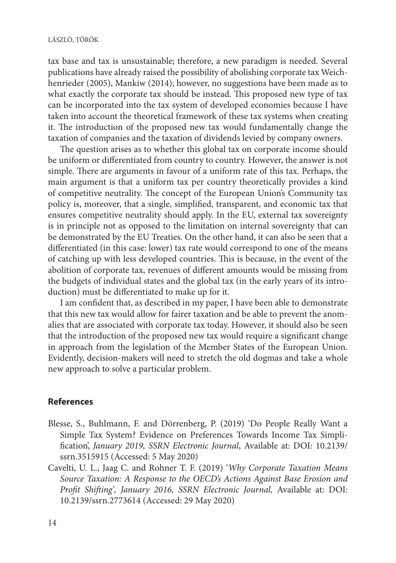tax base and tax is unsustainable; therefore, a new paradigm is needed. Several publications have already raised the possibility of abolishing corporate tax Weichhenrieder (2005), Mankiw (2014); however, no suggestions have been made as to what exactly the corporate tax should be instead. This proposed new type of tax can be incorporated into the tax system of developed economies because I have taken into account the theoretical framework of these tax systems when creating it. The introduction of the proposed new tax would fundamentally change the taxation of companies and the taxation of dividends levied by company owners.

The question arises as to whether this global tax on corporate income should be uniform or differentiated from country to country. However, the answer is not simple. There are arguments in favour of a uniform rate of this tax. Perhaps, the main argument is that a uniform tax per country theoretically provides a kind of competitive neutrality. The concept of the European Union's Community tax policy is, moreover, that a single, simplified, transparent, and economic tax that ensures competitive neutrality should apply. In the EU, external tax sovereignty is in principle not as opposed to the limitation on internal sovereignty that can be demonstrated by the EU Treaties. On the other hand, it can also be seen that a differentiated (in this case: lower) tax rate would correspond to one of the means of catching up with less developed countries. This is because, in the event of the abolition of corporate tax, revenues of different amounts would be missing from the budgets of individual states and the global tax (in the early years of its introduction) must be differentiated to make up for it.

I am confident that, as described in my paper, I have been able to demonstrate that this new tax would allow for fairer taxation and be able to prevent the anomalies that are associated with corporate tax today. However, it should also be seen that the introduction of the proposed new tax would require a significant change in approach from the legislation of the Member States of the European Union. Evidently, decision-makers will need to stretch the old dogmas and take a whole new approach to solve a particular problem.

## **References**

- Blesse, S., Buhlmann, F. and Dörrenberg, P. (2019) 'Do People Really Want a Simple Tax System? Evidence on Preferences Towards Income Tax Simplification', *January 2019, SSRN Electronic Journal*, Available at: DOI: 10.2139/ ssrn.3515915 (Accessed: 5 May 2020)
- Cavelti, U. L., Jaag C. and Rohner T. F. (2019) '*Why Corporate Taxation Means Source Taxation: A Response to the OECD's Actions Against Base Erosion and Profit Shifting', January 2016, SSRN Electronic Journal,* Available at: DOI: 10.2139/ssrn.2773614 (Accessed: 29 May 2020)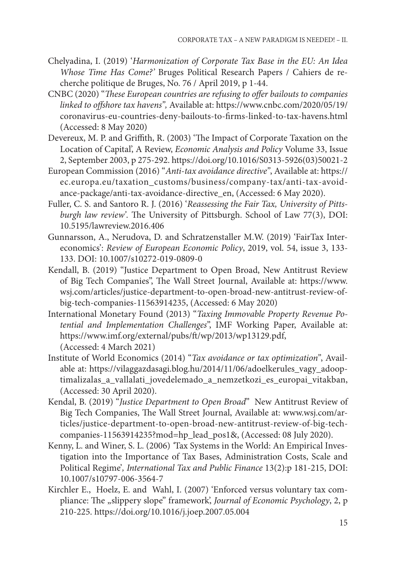- Chelyadina, I. (2019) '*Harmonization of Corporate Tax Base in the EU: An Idea Whose Time Has Come?'* Bruges Political Research Papers / Cahiers de recherche politique de Bruges, No. 76 / April 2019, p 1-44.
- CNBC (2020) "*These European countries are refusing to offer bailouts to companies linked to offshore tax havens",* Available at: https://www.cnbc.com/2020/05/19/ coronavirus-eu-countries-deny-bailouts-to-firms-linked-to-tax-havens.html (Accessed: 8 May 2020)
- Devereux, M. P. and Griffith, R. (2003) 'The Impact of Corporate Taxation on the Location of Capital', A Review, *Economic Analysis and Policy* Volume 33, Issue 2, September 2003, p 275-292. https://doi.org/10.1016/S0313-5926(03)50021-2
- European Commission (2016) "*Anti-tax avoidance directive"*, Available at: https:// ec.europa.eu/taxation\_customs/business/company-tax/anti-tax-avoidance-package/anti-tax-avoidance-directive\_en, (Accessed: 6 May 2020).
- Fuller, C. S. and Santoro R. J. (2016) '*Reassessing the Fair Tax, University of Pittsburgh law review'*. The University of Pittsburgh. School of Law 77(3), DOI: 10.5195/lawreview.2016.406
- Gunnarsson, A., Nerudova, D. and Schratzenstaller M.W. (2019) 'FairTax Intereconomics': *Review of European Economic Policy*, 2019, vol. 54, issue 3, 133- 133. DOI: 10.1007/s10272-019-0809-0
- Kendall, B. (2019) "Justice Department to Open Broad, New Antitrust Review of Big Tech Companies", The Wall Street Journal, Available at: https://www. wsj.com/articles/justice-department-to-open-broad-new-antitrust-review-ofbig-tech-companies-11563914235, (Accessed: 6 May 2020)
- International Monetary Found (2013) "*Taxing Immovable Property Revenue Potential and Implementation Challenges*", IMF Working Paper, Available at: https://www.imf.org/external/pubs/ft/wp/2013/wp13129.pdf, (Accessed: 4 March 2021)
- Institute of World Economics (2014) "*Tax avoidance or tax optimization"*, Available at: https://vilaggazdasagi.blog.hu/2014/11/06/adoelkerules\_vagy\_adooptimalizalas\_a\_vallalati\_jovedelemado\_a\_nemzetkozi\_es\_europai\_vitakban, (Accessed: 30 April 2020).
- Kendal, B. (2019) "*Justice Department to Open Broad*" New Antitrust Review of Big Tech Companies, The Wall Street Journal, Available at: www.wsj.com/articles/justice-department-to-open-broad-new-antitrust-review-of-big-techcompanies-11563914235?mod=hp\_lead\_pos1&, (Accessed: 08 July 2020).
- Kenny, L. and Winer, S. L. (2006) *'*Tax Systems in the World: An Empirical Investigation into the Importance of Tax Bases, Administration Costs, Scale and Political Regime'*, International Tax and Public Finance* 13(2):p 181-215, DOI: 10.1007/s10797-006-3564-7
- Kirchler E., Hoelz, E. and Wahl, I. (2007) 'Enforced versus voluntary tax compliance: The "slippery slope" framework', *Journal of Economic Psychology*, 2, p 210-225. https://doi.org/10.1016/j.joep.2007.05.004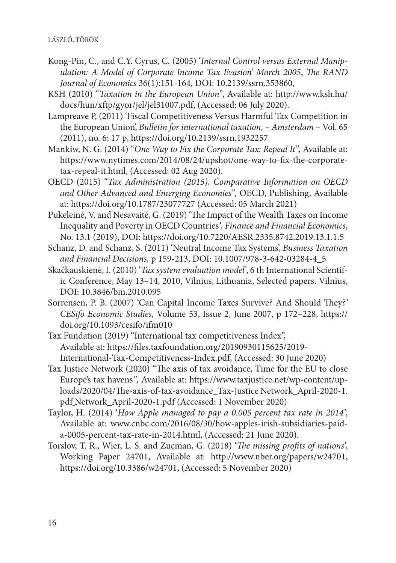- Kong-Pin, C., and C.Y. Cyrus, C. (2005) '*Internal Control versus External Manipulation: A Model of Corporate Income Tax Evasion' March 2005*, *The RAND Journal of Economics* 36(1):151-164, DOI: 10.2139/ssrn.353860,
- KSH (2010) "*Taxation in the European Union"*, Available at: http://www.ksh.hu/ docs/hun/xftp/gyor/jel/jel31007.pdf, (Accessed: 06 July 2020).
- Lampreave P, (2011) 'Fiscal Competitiveness Versus Harmful Tax Competition in the European Union', *Bulletin for international taxation, – Amsterdam* – Vol. 65 (2011), no. 6; 17 p, https://doi.org/10.2139/ssrn.1932257
- Mankiw, N. G. (2014) "*One Way to Fix the Corporate Tax: Repeal It",* Available at: https://www.nytimes.com/2014/08/24/upshot/one-way-to-fix-the-corporatetax-repeal-it.html, (Accessed: 02 Aug 2020).
- OECD (2015) "*Tax Administration (2015), Comparative Information on OECD and Other Advanced and Emerging Economies",* OECD, Publishing, Available at: https://doi.org/10.1787/23077727 (Accessed: 05 March 2021)
- Pukeleiné, V. and Nesavaité, G. (2019) 'The Impact of the Wealth Taxes on Income Inequality and Poverty in OECD Countries*', Finance and Financial Economics*, No. 13.1 (2019), DOI: https://doi.org/10.7220/AESR.2335.8742.2019.13.1.1.5
- Schanz, D. and Schanz, S. (2011) 'Neutral Income Tax Systems', *Business Taxation and Financial Decisions,* p 159-213, DOI: 10.1007/978-3-642-03284-4\_5
- Skačkauskienė, I. (2010) '*Tax system evaluation model'*, 6 th International Scientific Conference, May 13–14, 2010, Vilnius, Lithuania, Selected papers. Vilnius, DOI: 10.3846/bm.2010.095
- Sorrensen, P. B. (2007) 'Can Capital Income Taxes Survive? And Should They?*' CESifo Economic Studies,* Volume 53, Issue 2, June 2007, p 172–228, https:// doi.org/10.1093/cesifo/ifm010
- Tax Fundation (2019) "International tax competitiveness Index", Available at: https://files.taxfoundation.org/20190930115625/2019- International-Tax-Competitiveness-Index.pdf, (Accessed: 30 June 2020)
- Tax Justice Network (2020) "The axis of tax avoidance, Time for the EU to close Europe's tax havens*",* Available at: https://www.taxjustice.net/wp-content/uploads/2020/04/The-axis-of-tax-avoidance\_Tax-Justice Network\_April-2020-1. pdf Network\_April-2020-1.pdf (Accessed: 1 November 2020)
- Taylor, H. (2014) '*How Apple managed to pay a 0.005 percent tax rate in 2014'*, Available at: www.cnbc.com/2016/08/30/how-apples-irish-subsidiaries-paida-0005-percent-tax-rate-in-2014.html, (Accessed: 21 June 2020).
- Torslov, T. R., Wier, L. S. and Zucman, G. (2018) '*The missing profits of nations'*, Working Paper 24701, Available at: http://www.nber.org/papers/w24701, https://doi.org/10.3386/w24701, (Accessed: 5 November 2020)